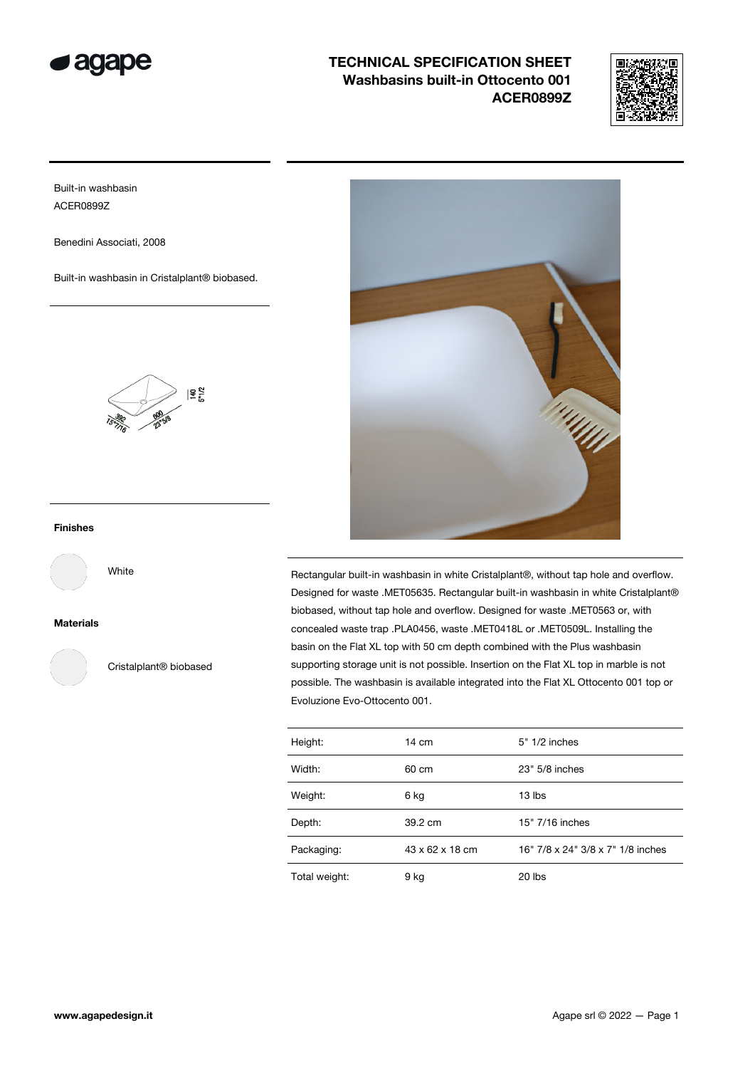



Built-in washbasin ACER0899Z

Benedini Associati, 2008

Built-in washbasin in Cristalplant® biobased.



### Finishes

White

Materials

Cristalplant® biobased



Rectangular built-in washbasin in white Cristalplant®, without tap hole and overflow. Designed for waste .MET05635. Rectangular built-in washbasin in white Cristalplant® biobased, without tap hole and overflow. Designed for waste .MET0563 or, with concealed waste trap .PLA0456, waste .MET0418L or .MET0509L. Installing the basin on the Flat XL top with 50 cm depth combined with the Plus washbasin supporting storage unit is not possible. Insertion on the Flat XL top in marble is not possible. The washbasin is available integrated into the Flat XL Ottocento 001 top or Evoluzione Evo-Ottocento 001.

| Height:       | $14 \text{ cm}$ | $5" 1/2$ inches                   |
|---------------|-----------------|-----------------------------------|
| Width:        | 60 cm           | 23" 5/8 inches                    |
| Weight:       | 6 kg            | 13 lbs                            |
| Depth:        | 39.2 cm         | 15" 7/16 inches                   |
| Packaging:    | 43 x 62 x 18 cm | 16" 7/8 x 24" 3/8 x 7" 1/8 inches |
| Total weight: | 9 kg            | 20 lbs                            |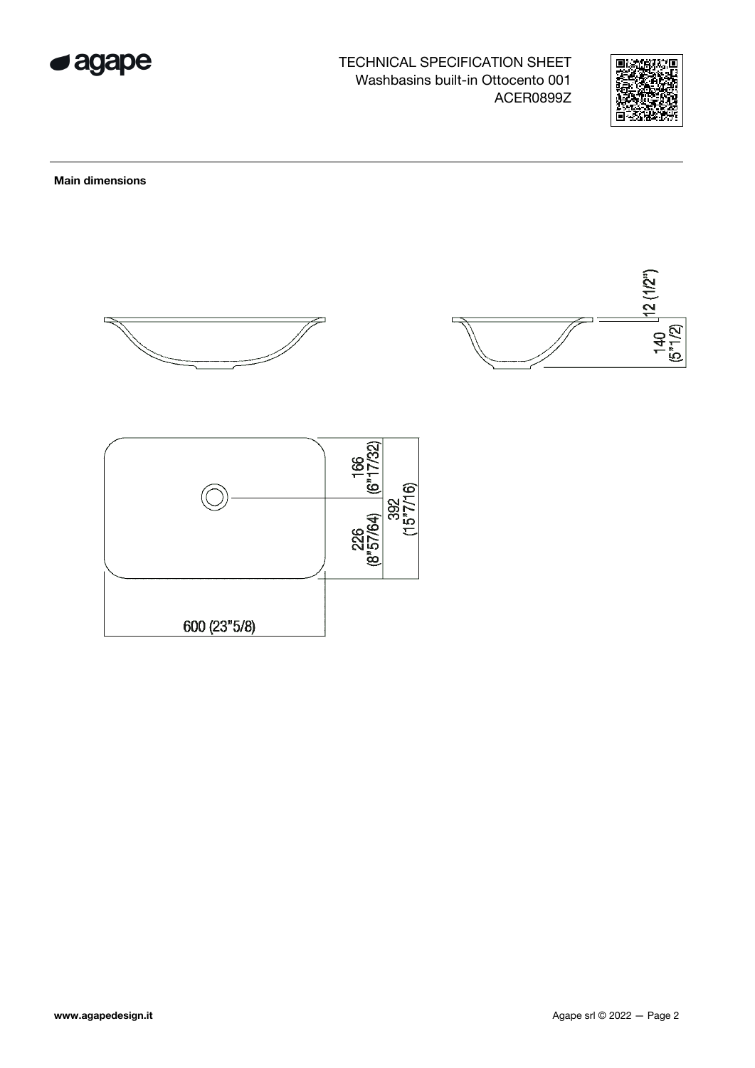



**Main dimensions** 





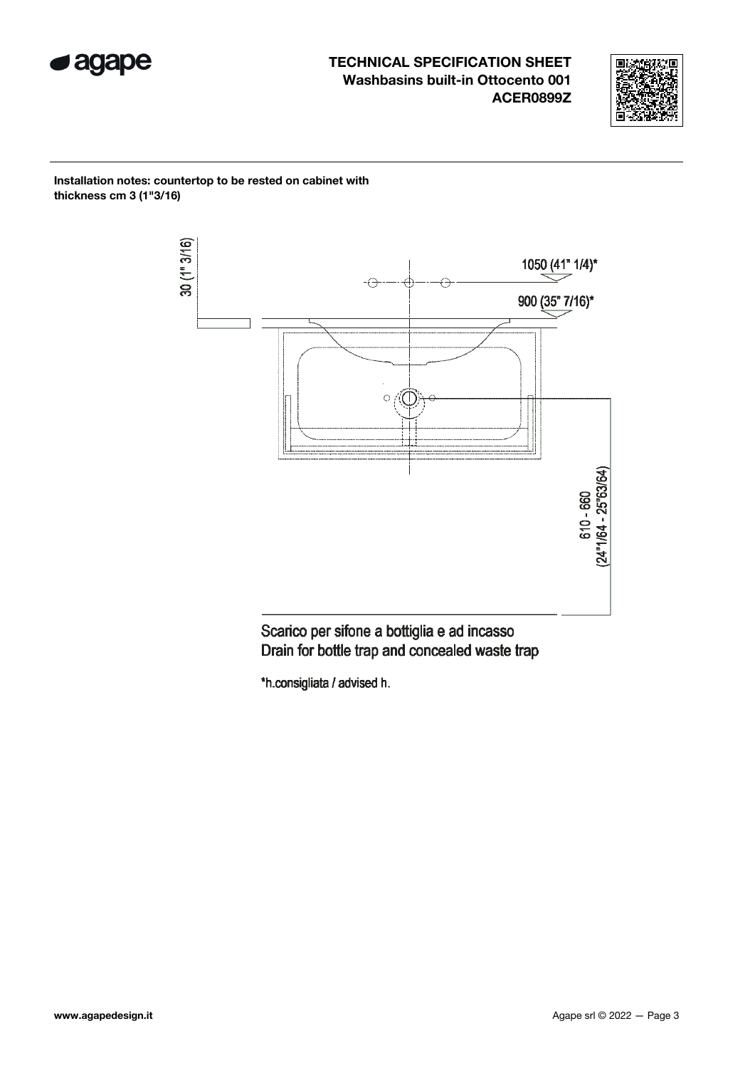



Installation notes: countertop to be rested on cabinet with thickness cm 3 (1"3/16)



Scarico per sifone a bottiglia e ad incasso Drain for bottle trap and concealed waste trap

\*h.consigliata / advised h.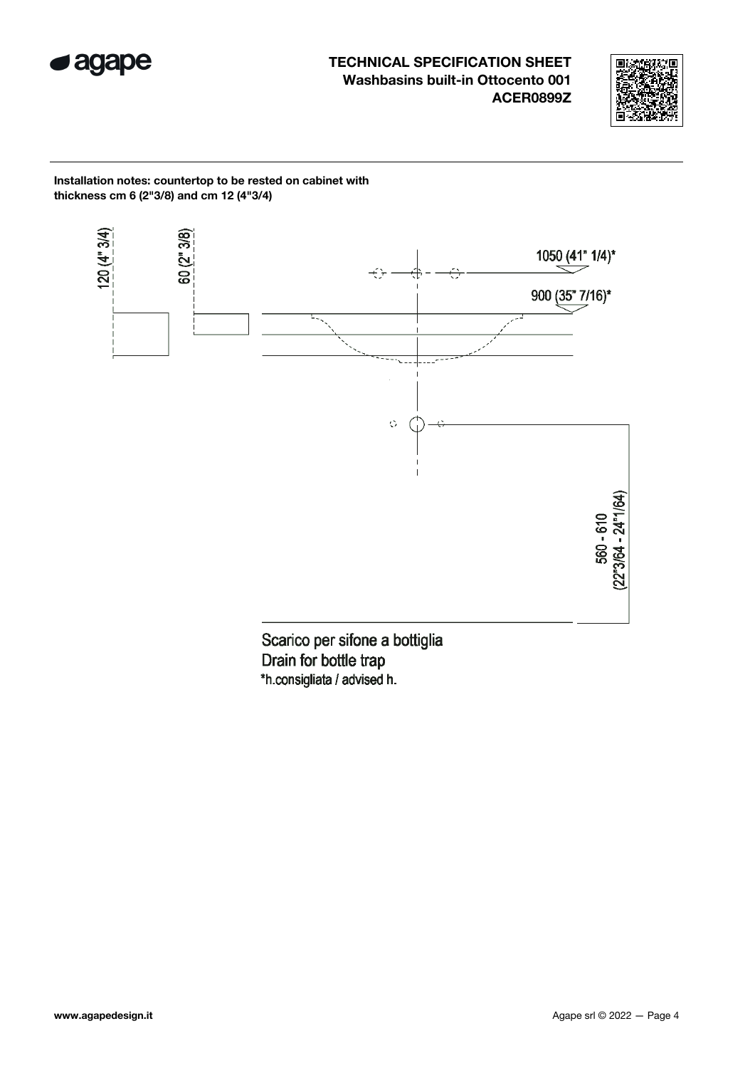



Installation notes: countertop to be rested on cabinet with thickness cm 6 (2"3/8) and cm 12 (4"3/4)



Drain for bottle trap \*h.consigliata / advised h.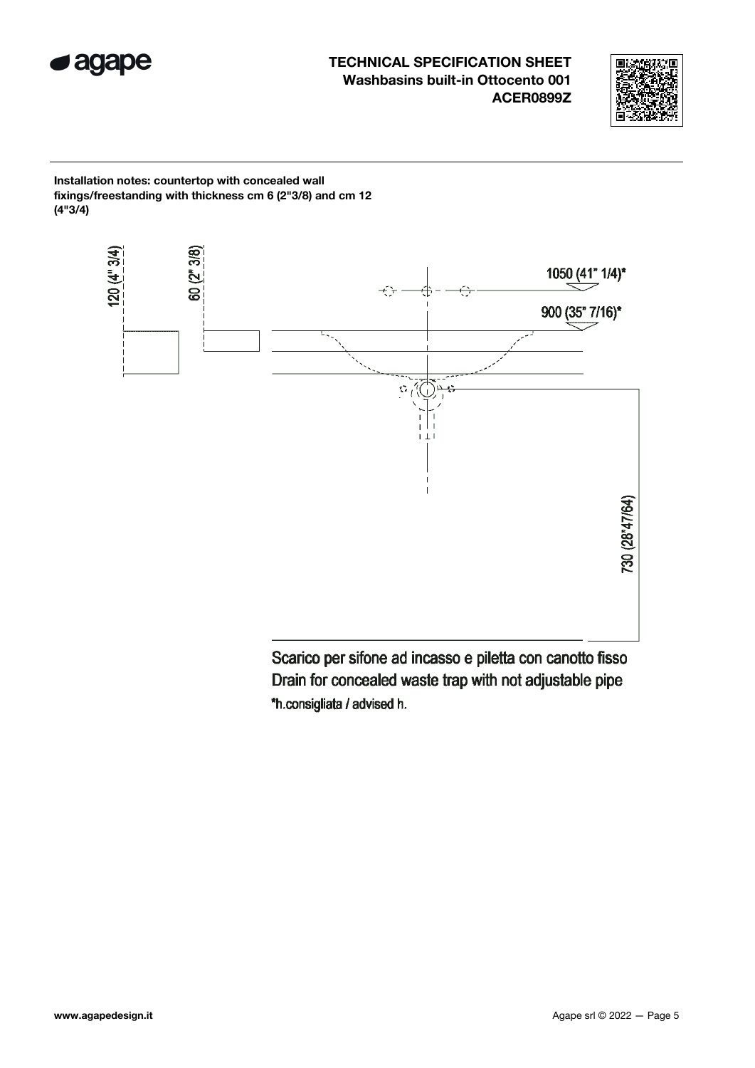



Installation notes: countertop with concealed wall fixings/freestanding with thickness cm 6 (2"3/8) and cm 12 (4"3/4)



Scarico per sifone ad incasso e piletta con canotto fisso Drain for concealed waste trap with not adjustable pipe \*h.consigliata / advised h.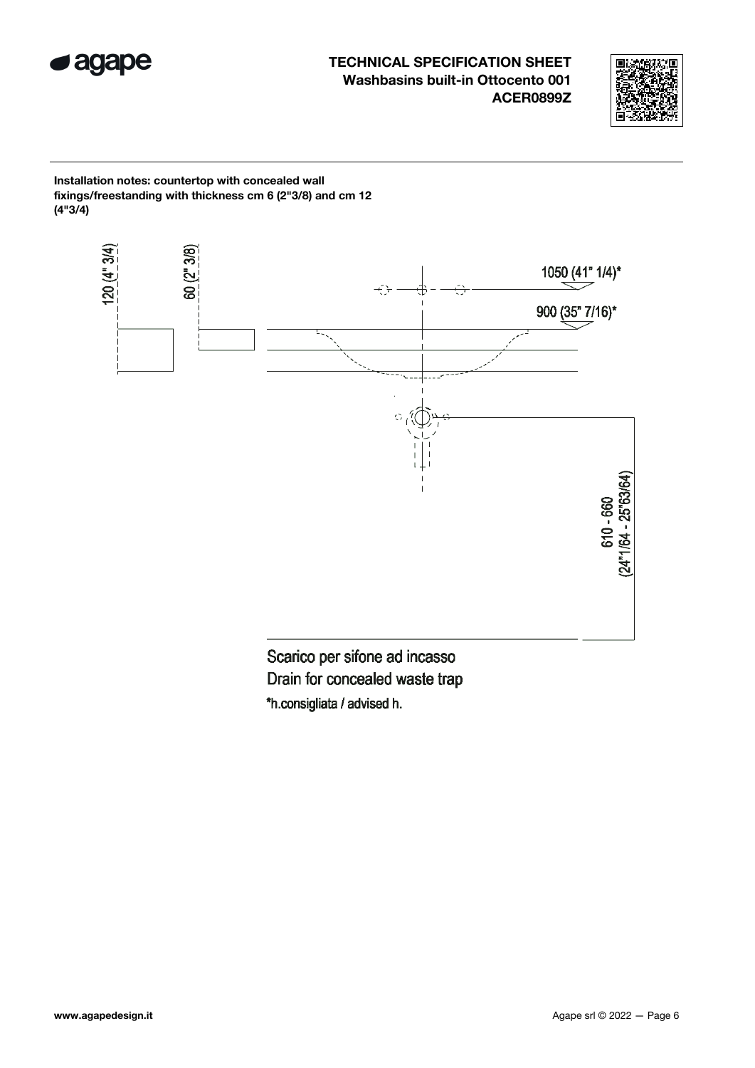



Installation notes: countertop with concealed wall fixings/freestanding with thickness cm 6 (2"3/8) and cm 12 (4"3/4)



Scarico per sifone ad incasso Drain for concealed waste trap \*h.consigliata / advised h.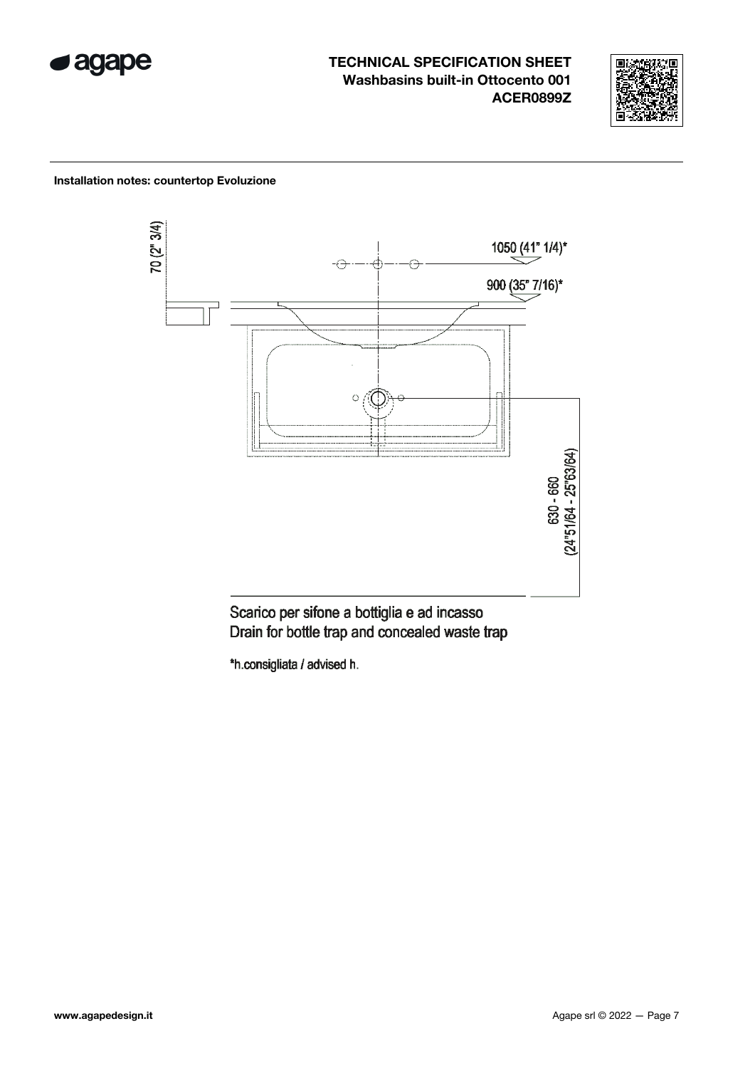



### Installation notes: countertop Evoluzione



Scarico per sifone a bottiglia e ad incasso Drain for bottle trap and concealed waste trap

\*h.consigliata / advised h.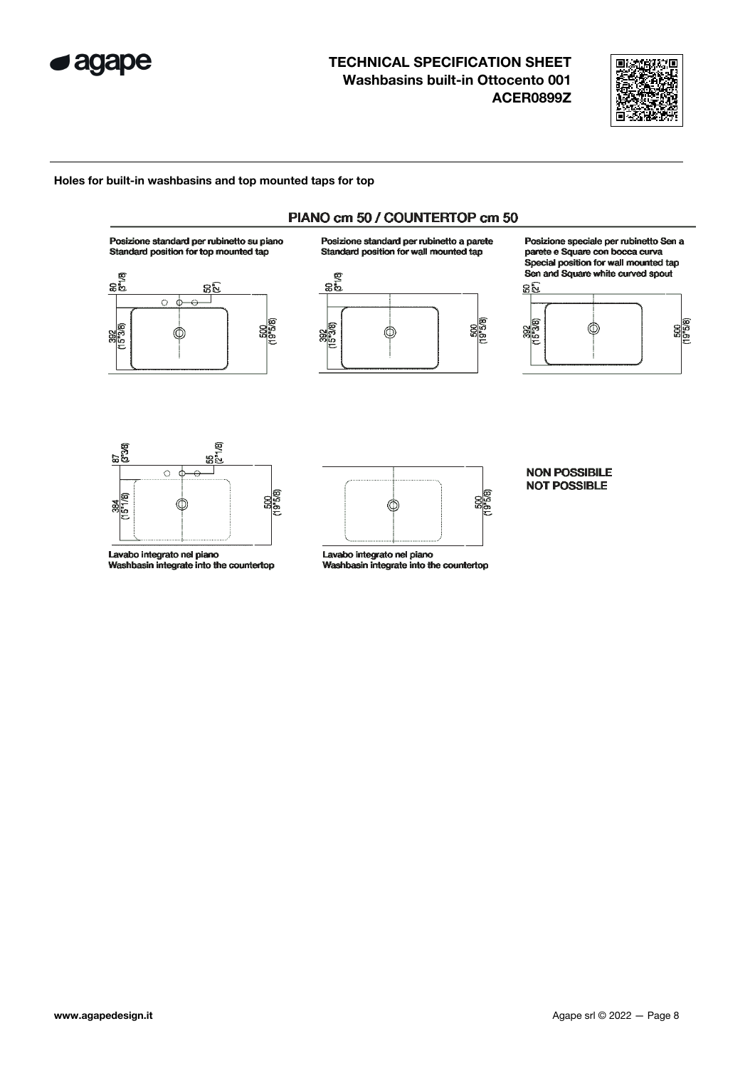



### Holes for built-in washbasins and top mounted taps for top





Lavabo integrato nel piano Washbasin integrate into the countertop



Lavabo integrato nel piano Washbasin integrate into the countertop

#### **NON POSSIBILE NOT POSSIBLE**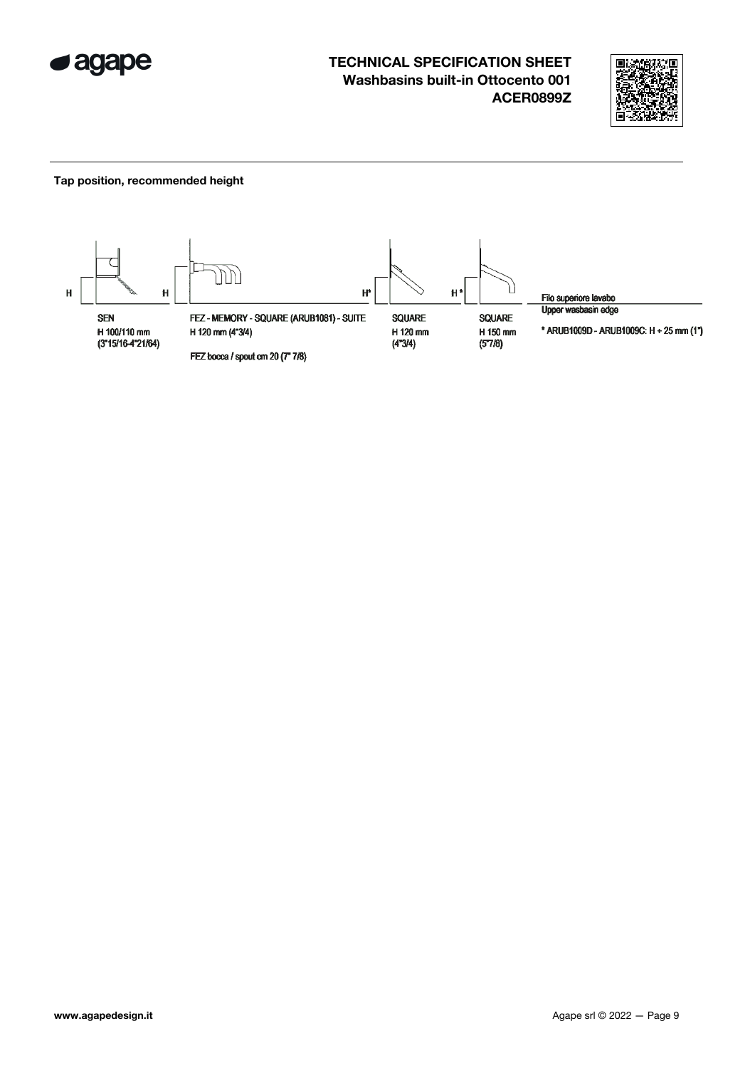



#### Tap position, recommended height